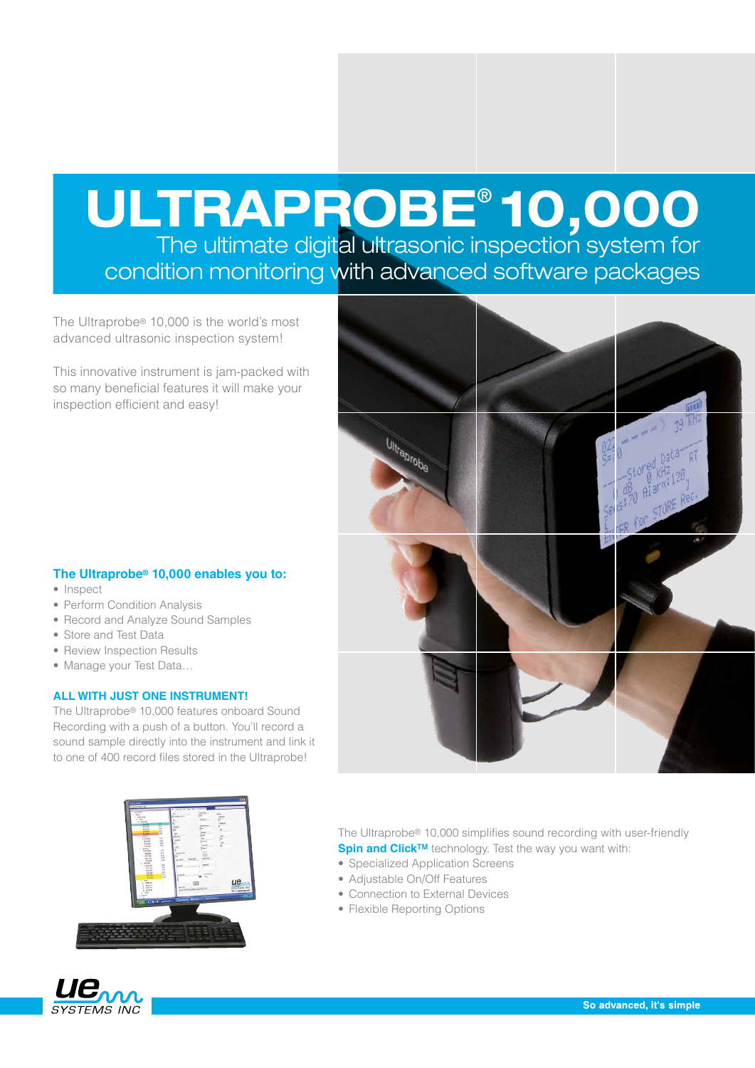# ULTRAPROBE® 10,000 The ultimate digital ultrasonic inspection system for

condition monitoring with advanced software packages

The Ultraprobe® 10,000 is the world's most advanced ultrasonic inspection system!

This innovative instrument is jam-packed with so many beneficial features it will make your inspection efficient and easy!

# **The Ultraprobe® 10,000 enables you to:**

- Inspect
- Perform Condition Analysis
- Record and Analyze Sound Samples
- Store and Test Data
- Review Inspection Results
- Manage your Test Data...

### **ALL WITH JUST ONE INSTRUMENT!**

The Ultraprobe® 10,000 features onboard Sound Recording with a push of a button. You'll record a sound sample directly into the instrument and link it to one of 400 record files stored in the Ultraprobe!





The Ultraprobe® 10,000 simplifies sound recording with user-friendly **Spin and Click<sup>TM</sup>** technology. Test the way you want with:

- Specialized Application Screens
- Adiustable On/Off Features
- Connection to External Devices
- Flexible Reporting Options

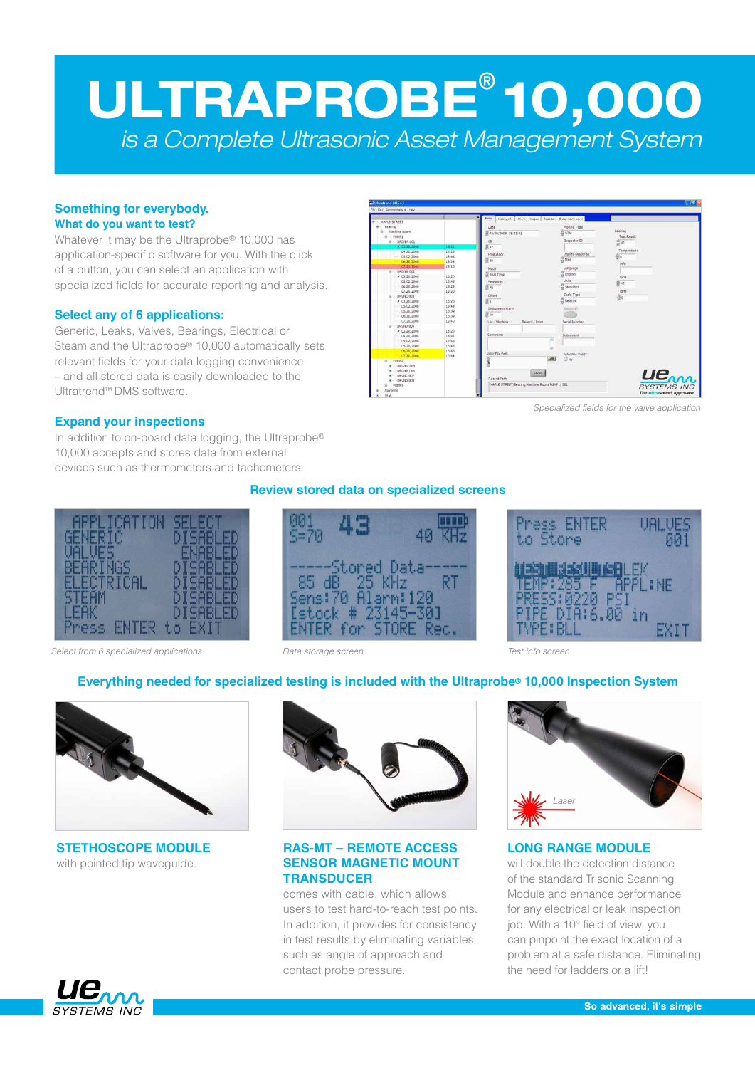# ULTRAPROBE® 10,000 *is a Complete Ultrasonic Asset Management System*

### **Something for everybody. What do you want to test?**

Whatever it may be the Ultraprobe® 10,000 has application-specific software for you. With the click of a button, you can select an application with specialized fields for accurate reporting and analysis.

# **Select any of 6 applications:**

Generic, Leaks, Valves, Bearings, Electrical or Steam and the Ultraprobe® 10,000 automatically sets relevant fields for your data logging convenience – and all stored data is easily downloaded to the Ultratrend™ DMS software.



*Specialized fields for the valve application*

## **Expand your inspections**

In addition to on-board data logging, the Ultraprobe® 10,000 accepts and stores data from external devices such as thermometers and tachometers.



*Select from 6 specialized applications Data storage screen Test info screen*

# **Review stored data on specialized screens**





# **Everything needed for specialized testing is included with the Ultraprobe® 10,000 Inspection System**



**STETHOSCOPE MODULE** with pointed tip waveguide.



## **RAS-MT – REMOTE ACCESS SENSOR MAGNETIC MOUNT TRANSDUCER**

comes with cable, which allows users to test hard-to-reach test points. In addition, it provides for consistency in test results by eliminating variables such as angle of approach and contact probe pressure.



#### **LONG RANGE MODULE** will double the detection distance

of the standard Trisonic Scanning Module and enhance performance for any electrical or leak inspection job. With a 10° field of view, you can pinpoint the exact location of a problem at a safe distance. Eliminating the need for ladders or a lift!

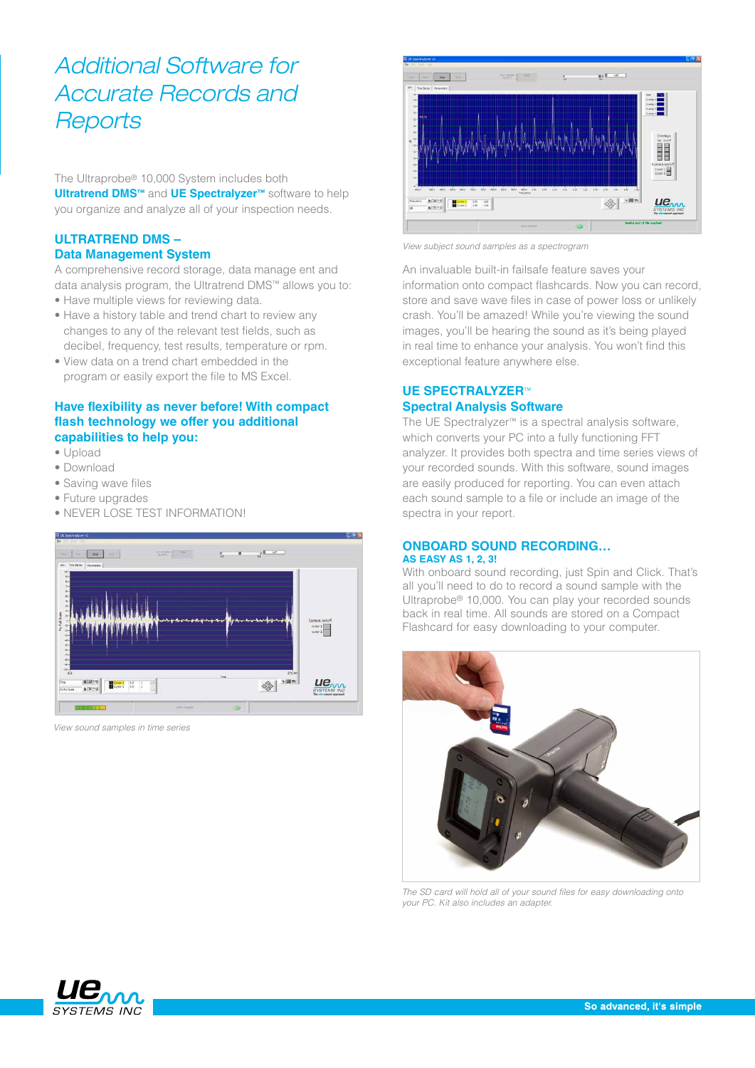# *Additional Software for Accurate Records and Reports*

The Ultraprobe® 10,000 System includes both **Ultratrend DMS™** and **UE Spectralyzer™** software to help you organize and analyze all of your inspection needs.

# **ULTRATREND DMS – Data Management System**

A comprehensive record storage, data manage ent and data analysis program, the Ultratrend DMS™ allows you to:

- Have multiple views for reviewing data.
- Have a history table and trend chart to review any changes to any of the relevant test fields, such as decibel, frequency, test results, temperature or rpm.
- • View data on a trend chart embedded in the program or easily export the file to MS Excel.

# **Have flexibility as never before! With compact flash technology we offer you additional capabilities to help you:**

- • Upload
- • Download
- Saving wave files
- Future upgrades
- NEVER LOSE TEST INFORMATION!



*View sound samples in time series*



*View subject sound samples as a spectrogram*

An invaluable built-in failsafe feature saves your information onto compact flashcards. Now you can record, store and save wave files in case of power loss or unlikely crash. You'll be amazed! While you're viewing the sound images, you'll be hearing the sound as it's being played in real time to enhance your analysis. You won't find this exceptional feature anywhere else.

# **UE SPECTRALYZER**™ **Spectral Analysis Software**

The UE Spectralyzer™ is a spectral analysis software, which converts your PC into a fully functioning FFT analyzer. It provides both spectra and time series views of your recorded sounds. With this software, sound images are easily produced for reporting. You can even attach each sound sample to a file or include an image of the spectra in your report.

### **ONBOARD SOUND RECORDING… AS EASY AS 1, 2, 3!**

With onboard sound recording, just Spin and Click. That's all you'll need to do to record a sound sample with the Ultraprobe® 10,000. You can play your recorded sounds back in real time. All sounds are stored on a Compact Flashcard for easy downloading to your computer.



*The SD card will hold all of your sound files for easy downloading onto your PC. Kit also includes an adapter.*